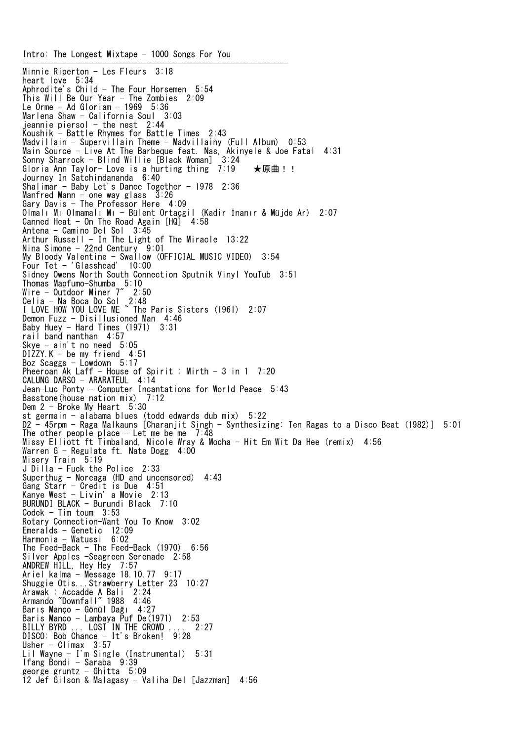Intro: The Longest Mixtape - 1000 Songs For You ------------------------------------------------------------ Minnie Riperton - Les Fleurs 3:18 heart love 5:34 Aphrodite's Child - The Four Horsemen 5:54 This Will Be Our Year - The Zombies 2:09 Le Orme - Ad Gloriam - 1969 5:36 Marlena Shaw - California Soul 3:03 jeannie piersol - the nest  $2:44$ Koushik - Battle Rhymes for Battle Times 2:43 Madvillain - Supervillain Theme - Madvillainy (Full Album) 0:53 Main Source - Live At The Barbeque feat. Nas, Akinyele & Joe Fatal 4:31 Sonny Sharrock - Blind Willie [Black Woman] 3:24 Gloria Ann Taylor- Love is a hurting thing 7:19 ★原曲!! Journey In Satchindananda 6:40 Shalimar - Baby Let's Dance Together -  $1978$  2:36 Manfred Mann  $-$  one way glass  $3:26$ Gary Davis - The Professor Here 4:09 Olmalı Mı Olmamalı Mı - Bülent Ortaçgil (Kadir İnanır & Müjde Ar) 2:07 Canned Heat - On The Road Again [HQ] 4:58 Antena - Camino Del Sol 3:45 Arthur Russell - In The Light of The Miracle  $13:22$ Nina Simone - 22nd Century 9:01 My Bloody Valentine - Swallow (OFFICIAL MUSIC VIDEO) 3:54 Four Tet - 'Glasshead' 10:00 Sidney Owens North South Connection Sputnik Vinyl YouTub 3:51 Thomas Mapfumo-Shumba 5:10 Wire - Outdoor Miner 7" 2:50 Celia - Na Boca Do Sol 2:48 I LOVE HOW YOU LOVE ME ~ The Paris Sisters (1961) 2:07 Demon Fuzz - Disillusioned Man 4:46 Baby Huey - Hard Times (1971) 3:31 rail band nanthan 4:57 Skye - ain't no need 5:05 DIZZY.K - be my friend 4:51 Boz Scaggs  $-$  Lowdown 5:17 Pheeroan Ak Laff - House of Spirit : Mirth - 3 in 1 7:20 CALUNG DARSO - ARARATEUL 4:14 Jean-Luc Ponty - Computer Incantations for World Peace 5:43 Basstone(house nation mix) 7:12 Dem  $2$  - Broke My Heart  $5:30$ st germain - alabama blues (todd edwards dub mix) 5:22 D2 - 45rpm - Raga Malkauns [Charanjit Singh - Synthesizing: Ten Ragas to a Disco Beat (1982)] 5:01 The other people place  $-$  Let me be me  $7:48$ Missy Elliott ft Timbaland, Nicole Wray & Mocha - Hit Em Wit Da Hee (remix) 4:56 Warren G - Regulate ft. Nate Dogg 4:00 Misery Train 5:19 J Dilla - Fuck the Police 2:33 Superthug - Noreaga (HD and uncensored) 4:43 Gang Starr - Credit is Due 4:51 Kanye West - Livin' a Movie 2:13 BURUNDI BLACK - Burundi Black 7:10 Codek - Tim toum 3:53 Rotary Connection-Want You To Know 3:02 Emeralds - Genetic 12:09 Harmonia - Watussi 6:02 The Feed-Back - The Feed-Back (1970) 6:56 Silver Apples -Seagreen Serenade 2:58 ANDREW HILL, Hey Hey 7:57 Ariel kalma - Message 18.10.77 9:17 Shuggie Otis...Strawberry Letter 23 10:27 Arawak : Accadde A Bali 2:24 Armando "Downfall" 1988 4:46 Barış Manço - Gönül Dağı 4:27 Baris Manco - Lambaya Puf De(1971) 2:53 BILLY BYRD ... LOST IN THE CROWD .... 2:27 DISCO: Bob Chance - It's Broken! 9:28 Usher - Climax 3:57 Lil Wayne - I'm Single (Instrumental) 5:31 Ifang Bondi - Saraba 9:39 george gruntz  $-$  Ghitta 5:09 12 Jef Gilson & Malagasy - Valiha Del [Jazzman] 4:56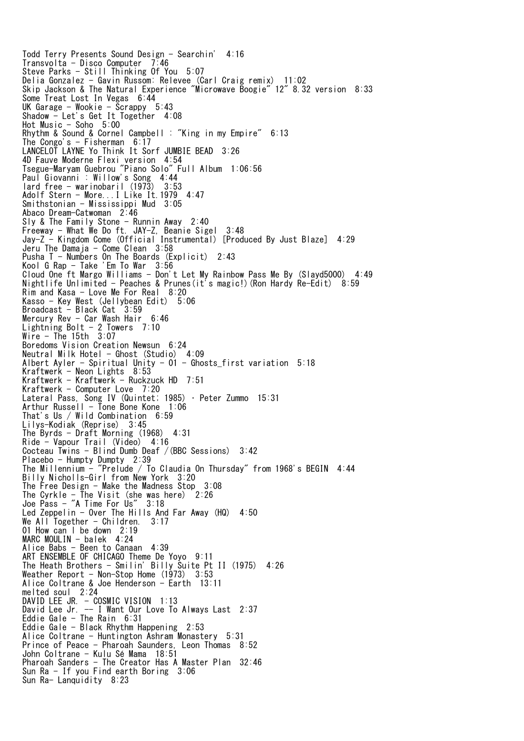Todd Terry Presents Sound Design - Searchin' 4:16 Transvolta - Disco Computer 7:46 Steve Parks - Still Thinking Of You 5:07 Delia Gonzalez - Gavin Russom: Relevee (Carl Craig remix) 11:02 Skip Jackson & The Natural Experience "Microwave Boogie" 12" 8.32 version 8:33 Some Treat Lost In Vegas 6:44 UK Garage - Wookie - Scrappy 5:43 Shadow - Let's Get It Together 4:08 Hot Music - Soho 5:00 Rhythm & Sound & Cornel Campbell : "King in my Empire" 6:13 The Congo's  $-$  Fisherman 6:17 LANCELOT LAYNE Yo Think It Sorf JUMBIE BEAD 3:26 4D Fauve Moderne Flexi version 4:54 Tsegue-Maryam Guebrou "Piano Solo" Full Album 1:06:56 Paul Giovanni : Willow's Song 4:44 lard free - warinobaril (1973) 3:53 Adolf Stern - More...I Like It.1979 4:47 Smithstonian - Mississippi Mud 3:05 Abaco Dream-Catwoman 2:46 Sly & The Family Stone - Runnin Away 2:40 Freeway - What We Do ft. JAY-Z, Beanie Sigel 3:48 Jay-Z - Kingdom Come (Official Instrumental) [Produced By Just Blaze] 4:29 Jeru The Damaja - Come Clean 3:58 Pusha T - Numbers On The Boards (Explicit) 2:43 Kool G Rap - Take 'Em To War 3:56 Cloud One ft Margo Williams - Don't Let My Rainbow Pass Me By (Slayd5000) 4:49 Nightlife Unlimited - Peaches & Prunes(it's magic!)(Ron Hardy Re-Edit) 8:59 Rim and Kasa - Love Me For Real 8:20 Kasso - Key West (Jellybean Edit) 5:06 Broadcast - Black Cat 3:59 Mercury Rev - Car Wash Hair 6:46 Lightning Bolt - 2 Towers 7:10 Wire - The 15th 3:07 Boredoms Vision Creation Newsun 6:24 Neutral Milk Hotel - Ghost (Studio) 4:09 Albert Ayler - Spiritual Unity -  $01$  - Ghosts first variation 5:18 Kraftwerk - Neon Lights 8:53 Kraftwerk - Kraftwerk - Ruckzuck HD 7:51 Kraftwerk - Computer Love 7:20 Lateral Pass, Song IV (Quintet; 1985) • Peter Zummo 15:31 Arthur Russell - Tone Bone Kone 1:06 That's Us / Wild Combination 6:59 Lilys-Kodiak (Reprise) 3:45 The Byrds - Draft Morning (1968) 4:31 Ride - Vapour Trail (Video) 4:16 Cocteau Twins - Blind Dumb Deaf /(BBC Sessions) 3:42 Placebo - Humpty Dumpty 2:39 The Millennium - "Prelude / To Claudia On Thursday" from 1968's BEGIN 4:44 Billy Nicholls-Girl from New York 3:20 The Free Design - Make the Madness Stop 3:08 The Cyrkle  $-$  The Visit (she was here) 2:26 Joe Pass - "A Time For Us" 3:18 Led Zeppelin - Over The Hills And Far Away (HQ) 4:50 We All Together - Children. 3:17 01 How can l be down 2:19 MARC MOULIN - balek 4:24 Alice Babs - Been to Canaan 4:39 ART ENSEMBLE OF CHICAGO Theme De Yoyo 9:11 The Heath Brothers - Smilin' Billy Suite Pt II (1975) 4:26 Weather Report - Non-Stop Home  $(1973)$  3:53 Alice Coltrane & Joe Henderson - Earth 13:11 melted soul 2:24 DAVID LEE JR. - COSMIC VISION 1:13 David Lee Jr. -- I Want Our Love To Always Last 2:37 Eddie Gale - The Rain 6:31 Eddie Gale - Black Rhythm Happening 2:53 Alice Coltrane - Huntington Ashram Monastery 5:31 Prince of Peace - Pharoah Saunders, Leon Thomas 8:52 John Coltrane - Kulu Sé Mama 18:51 Pharoah Sanders - The Creator Has A Master Plan 32:46 Sun Ra - If you Find earth Boring 3:06 Sun Ra- Lanquidity 8:23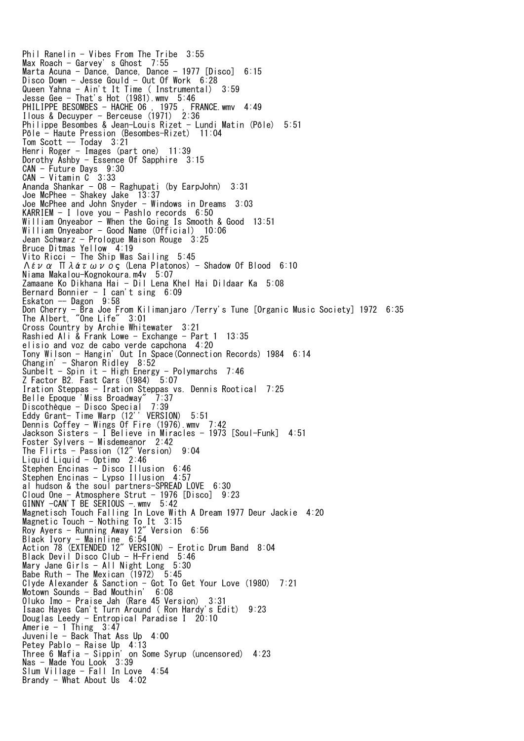Phil Ranelin - Vibes From The Tribe 3:55 Max Roach - Garvey' s Ghost 7:55 Marta Acuna - Dance, Dance, Dance - 1977 [Disco] 6:15 Disco Down - Jesse Gould - Out Of Work 6:28 Queen Yahna - Ain't It Time ( Instrumental) 3:59 Jesse Gee - That's Hot (1981).wmv 5:46 PHILIPPE BESOMBES - HACHE 06 , 1975 , FRANCE.wmv 4:49 Ilous & Decuyper - Berceuse  $(1971)$  2:36 Philippe Besombes & Jean-Louis Rizet - Lundi Matin (Pôle) 5:51 Pôle - Haute Pression (Besombes-Rizet) 11:04 Tom Scott  $-$  Today  $3:21$ Henri Roger - Images (part one) 11:39 Dorothy Ashby - Essence Of Sapphire 3:15 CAN - Future Days 9:30 CAN - Vitamin C 3:33 Ananda Shankar - 08 - Raghupati (by EarpJohn) 3:31 Joe McPhee - Shakey Jake 13:37 Joe McPhee and John Snyder - Windows in Dreams 3:03 KARRIEM - I love you - Pashlo records 6:50 William Onyeabor - When the Going Is Smooth & Good 13:51 William Onyeabor - Good Name (Official) 10:06 Jean Schwarz - Prologue Maison Rouge 3:25 Bruce Ditmas Yellow 4:19 Vito Ricci - The Ship Was Sailing 5:45  $Λεν α$  Πλάτωνος (Lena Platonos) - Shadow Of Blood 6:10 Niama Makalou-Kognokoura.m4v 5:07 Zamaane Ko Dikhana Hai - Dil Lena Khel Hai Dildaar Ka 5:08 Bernard Bonnier - I can't sing 6:09 Eskaton -- Dagon 9:58 Don Cherry - Bra Joe From Kilimanjaro /Terry's Tune [Organic Music Society] 1972 6:35 The Albert, "One Life" 3:01 Cross Country by Archie Whitewater 3:21 Rashied Ali & Frank Lowe - Exchange - Part 1 13:35 elisio and voz de cabo verde capchona 4:20 Tony Wilson - Hangin' Out In Space(Connection Records) 1984 6:14 Changin' - Sharon Ridley 8:52 Sunbelt - Spin it - High Energy - Polymarchs 7:46 Z Factor B2. Fast Cars (1984) 5:07 Iration Steppas - Iration Steppas vs. Dennis Rootical 7:25 Belle Epoque 'Miss Broadway" 7:37 Discothèque - Disco Special 7:39 Eddy Grant- Time Warp (12'' VERSION) 5:51 Dennis Coffey - Wings Of Fire (1976).wmv 7:42 Jackson Sisters - I Believe in Miracles - 1973 [Soul-Funk] 4:51 Foster Sylvers - Misdemeanor 2:42 The Flirts - Passion (12" Version) 9:04 Liquid Liquid - Optimo 2:46 Stephen Encinas - Disco Illusion 6:46 Stephen Encinas - Lypso Illusion 4:57 al hudson & the soul partners-SPREAD LOVE 6:30  $C$ loud One - Atmosphere Strut - 1976 [Disco] 9:23 GINNY -CAN'T BE SERIOUS - wmv 5:42 Magnetisch Touch Falling In Love With A Dream 1977 Deur Jackie 4:20 Magnetic Touch - Nothing To It 3:15 Roy Ayers - Running Away 12" Version 6:56 Black Ivory - Mainline 6:54 Action 78 (EXTENDED 12" VERSION) - Erotic Drum Band 8:04 Black Devil Disco Club - H-Friend 5:46 Mary Jane Girls - All Night Long 5:30 Babe Ruth - The Mexican (1972) 5:45 Clyde Alexander & Sanction - Got To Get Your Love (1980) 7:21 Motown Sounds - Bad Mouthin' 6:08 Oluko Imo - Praise Jah (Rare 45 Version) 3:31 Isaac Hayes Can't Turn Around ( Ron Hardy's Edit) 9:23 Douglas Leedy - Entropical Paradise I 20:10 Amerie - 1 Thing 3:47 Juvenile - Back That Ass Up 4:00 Petey Pablo - Raise Up 4:13 Three 6 Mafia - Sippin' on Some Syrup (uncensored) 4:23 Nas - Made You Look 3:39 Slum Village - Fall In Love 4:54 Brandy - What About Us 4:02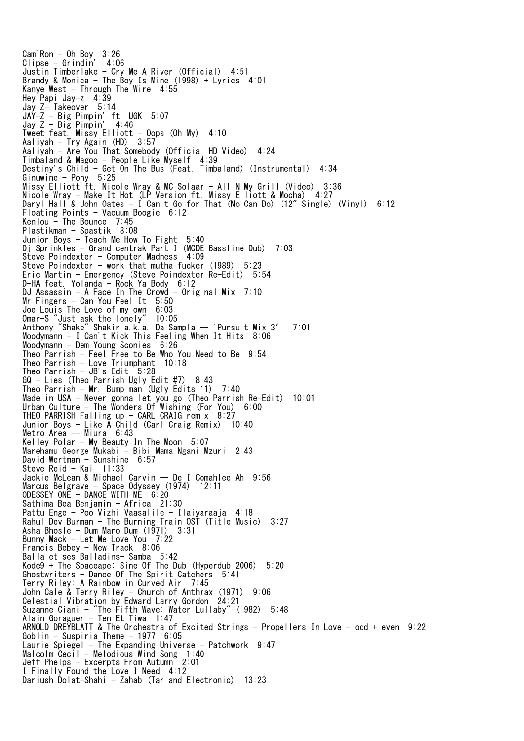Cam'Ron  $-$  Oh Boy  $3:26$ Clipse - Grindin' 4:06 Justin Timberlake - Cry Me A River (Official) 4:51 Brandy & Monica - The Boy Is Mine  $(1998)$  + Lyrics 4:01 Kanye West - Through The Wire  $4:55$ Hey Papi Jay-z 4:39 Jay Z- Takeover 5:14 JAY-Z - Big Pimpin' ft. UGK 5:07 Jay  $Z - Big Pimpin' 4:46$ Tweet feat. Missy  $Elliott - Oops$  (Oh My)  $4:10$ Aaliyah - Try Again (HD) 3:57 Aaliyah - Are You That Somebody (Official HD Video) 4:24 Timbaland & Magoo - People Like Myself 4:39 Destiny's Child - Get On The Bus (Feat. Timbaland) (Instrumental) 4:34 Ginuwine - Pony 5:25 Missy Elliott ft. Nicole Wray & MC Solaar - All N My Grill (Video) 3:36 Nicole Wray - Make It Hot (LP Version ft. Missy Elliott & Mocha) 4:27 Daryl Hall & John Oates - I Can't Go for That (No Can Do) (12" Single) (Vinyl) 6:12 Floating Points - Vacuum Boogie 6:12 Kenlou - The Bounce 7:45 Plastikman - Spastik 8:08 Junior Boys - Teach Me How To Fight 5:40 Dj Sprinkles - Grand centrak Part I (MCDE Bassline Dub) 7:03 Steve Poindexter - Computer Madness 4:09 Steve Poindexter - work that mutha fucker (1989) 5:23 Eric Martin - Emergency (Steve Poindexter Re-Edit) 5:54 D-HA feat. Yolanda - Rock Ya Body 6:12 DJ Assassin - A Face In The Crowd - Original Mix 7:10 Mr Fingers - Can You Feel It 5:50 Joe Louis The Love of my own 6:03 Omar-S "Just ask the lonely" 10:05 Anthony "Shake" Shakir a.k.a. Da Sampla -- 'Pursuit Mix 3′ 7:01 Moodymann - I Can't Kick This Feeling When It Hits 8:06 Moodymann - Dem Young Sconies 6:26 Theo Parrish - Feel Free to Be Who You Need to Be 9:54 Theo Parrish - Love Triumphant 10:18 Theo Parrish  $-$  JB's Edit  $5:28$ GQ - Lies (Theo Parrish Ugly Edit #7) 8:43 Theo Parrish - Mr. Bump man (Ugly Edits 11)  $7:40$ Made in USA - Never gonna let you go (Theo Parrish Re-Edit) 10:01 Urban Culture - The Wonders Of Wishing (For You) 6:00 THEO PARRISH Falling up  $-$  CARL CRAIG remix  $8:27$ Junior Boys - Like A Child (Carl Craig Remix) 10:40 Metro Area -- Miura 6:43 Kelley Polar - My Beauty In The Moon 5:07 Marehamu George Mukabi - Bibi Mama Ngani Mzuri 2:43 David Wertman - Sunshine 6:57 Steve Reid - Kai 11:33 Jackie McLean & Michael Carvin -- De I Comahlee Ah 9:56 Marcus Belgrave - Space Odyssey (1974) 12:11 ODESSEY ONE - DANCE WITH ME 6:20 Sathima Bea Benjamin - Africa 21:30 Pattu Enge - Poo Vizhi Vaasalile - Ilaiyaraaja 4:18 Rahul Dev Burman - The Burning Train OST (Title Music) 3:27 Asha Bhosle - Dum Maro Dum (1971) 3:31 Bunny Mack - Let Me Love You 7:22 Francis Bebey - New Track 8:06 Balla et ses Balladins- Samba 5:42 Kode9 + The Spaceape: Sine Of The Dub (Hyperdub 2006) 5:20 Ghostwriters - Dance Of The Spirit Catchers 5:41 Terry Riley: A Rainbow in Curved Air 7:45 John Cale & Terry Riley - Church of Anthrax (1971) 9:06 Celestial Vibration by Edward Larry Gordon 24:21 Suzanne Ciani - "The Fifth Wave: Water Lullaby" (1982) 5:48 Alain Goraguer - Ten Et Tiwa 1:47 ARNOLD DREYBLATT & The Orchestra of Excited Strings - Propellers In Love - odd + even 9:22 Goblin - Suspiria Theme - 1977 6:05 Laurie Spiegel - The Expanding Universe - Patchwork 9:47 Malcolm Cecil - Melodious Wind Song 1:40 Jeff Phelps - Excerpts From Autumn 2:01 I Finally Found the Love I Need 4:12 Dariush Dolat-Shahi - Zahab (Tar and Electronic) 13:23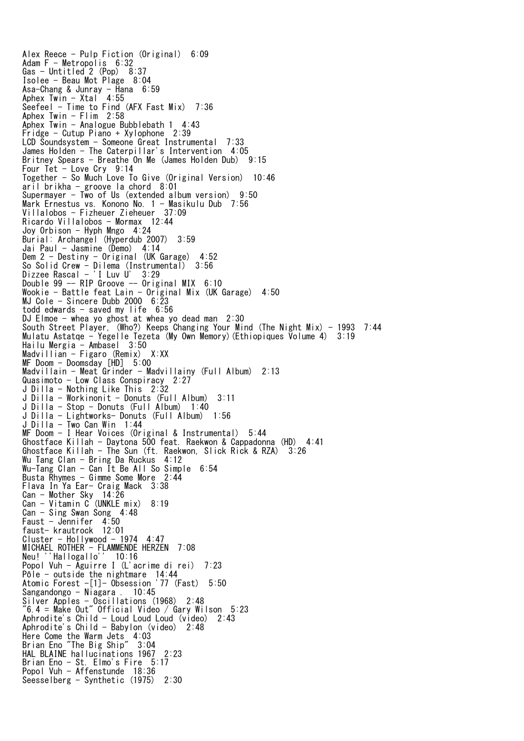Alex Reece - Pulp Fiction (Original) 6:09 Adam F - Metropolis 6:32 Gas - Untitled 2 (Pop) 8:37 Isolee - Beau Mot Plage 8:04 Asa-Chang & Junray - Hana 6:59 Aphex Twin - Xtal 4:55 Seefeel - Time to Find (AFX Fast Mix) 7:36 Aphex Twin  $-$  Flim 2:58 Aphex Twin - Analogue Bubblebath 1 4:43 Fridge - Cutup Piano + Xylophone 2:39 LCD Soundsystem - Someone Great Instrumental 7:33 James Holden - The Caterpillar's Intervention 4:05 Britney Spears - Breathe On Me (James Holden Dub) 9:15 Four Tet - Love Cry 9:14 Together - So Much Love To Give (Original Version) 10:46 aril brikha - groove la chord 8:01 Supermayer - Two of Us (extended album version) 9:50 Mark Ernestus vs. Konono No. 1 - Masikulu Dub 7:56 Villalobos - Fizheuer Zieheuer 37:09 Ricardo Villalobos - Mormax 12:44 Joy Orbison - Hyph Mngo 4:24 Burial: Archangel (Hyperdub 2007) 3:59 Jai Paul - Jasmine (Demo) 4:14 Dem 2 - Destiny - Original (UK Garage) 4:52 So Solid Crew - Dilema (Instrumental) 3:56 Dizzee Rascal - 'I Luv U' 3:29 Double 99 -- RIP Groove -- Original MIX 6:10 Wookie - Battle feat Lain - Original Mix (UK Garage) 4:50 MJ Cole - Sincere Dubb 2000 6:23 todd edwards - saved my life 6:56 DJ Elmoe - whea yo ghost at whea yo dead man 2:30 South Street Player, (Who?) Keeps Changing Your Mind (The Night Mix) - 1993 7:44 Mulatu Astatqe - Yegelle Tezeta (My Own Memory)(Ethiopiques Volume 4) 3:19 Hailu Mergia - Ambasel 3:50 Madvillian - Figaro (Remix) X:XX MF Doom - Doomsday [HD] 5:00 Madvillain - Meat Grinder - Madvillainy (Full Album) 2:13 Quasimoto - Low Class Conspiracy 2:27 J Dilla - Nothing Like This 2:32 J Dilla - Workinonit - Donuts (Full Album) 3:11 J Dilla - Stop - Donuts (Full Album) 1:40 J Dilla - Lightworks- Donuts (Full Album) 1:56 J Dilla - Two Can Win 1:44 MF Doom - I Hear Voices (Original & Instrumental) 5:44 Ghostface Killah - Daytona 500 feat. Raekwon & Cappadonna (HD) 4:41 Ghostface Killah - The Sun (ft. Raekwon, Slick Rick & RZA) 3:26 Wu Tang Clan - Bring Da Ruckus 4:12 Wu-Tang Clan - Can It Be All So Simple 6:54 Busta Rhymes - Gimme Some More 2:44 Flava In Ya Ear- Craig Mack 3:38 Can - Mother Sky 14:26 Can - Vitamin C (UNKLE mix) 8:19 Can - Sing Swan Song 4:48 Faust - Jennifer 4:50 faust- krautrock 12:01 Cluster - Hollywood - 1974 4:47 MICHAEL ROTHER - FLAMMENDE HERZEN 7:08 Neu! ''Hallogallo'' 10:16 Popol Vuh - Aguirre I (L'acrime di rei) 7:23 Pôle - outside the nightmare 14:44 Atomic Forest -[1]- Obsession '77 (Fast) 5:50 Sangandongo - Niagara . 10:45 Silver Apples - Oscillations (1968) 2:48 "6.4 = Make Out" Official Video / Gary Wilson 5:23 Aphrodite's Child - Loud Loud Loud (video) 2:43 Aphrodite's Child - Babylon (video) 2:48 Here Come the Warm Jets 4:03 Brian Eno "The Big Ship" 3:04 HAL BLAINE hallucinations 1967 2:23 Brian Eno - St. Elmo's Fire 5:17 Popol Vuh - Affenstunde 18:36 Seesselberg - Synthetic (1975) 2:30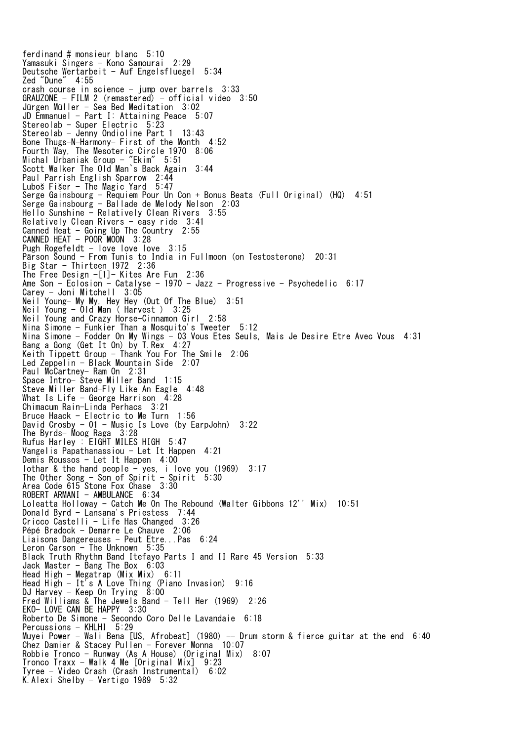ferdinand # monsieur blanc 5:10 Yamasuki Singers - Kono Samourai 2:29 Deutsche Wertarbeit - Auf Engelsfluegel 5:34 Zed "Dune" 4:55 crash course in science - jump over barrels 3:33 GRAUZONE - FILM 2 (remastered) - official video 3:50 Jürgen Müller - Sea Bed Meditation 3:02 JD Emmanuel - Part I: Attaining Peace 5:07 Stereolab - Super Electric 5:23 Stereolab - Jenny Ondioline Part 1 13:43 Bone Thugs-N-Harmony- First of the Month 4:52 Fourth Way, The Mesoteric Circle 1970 8:06 Michal Urbaniak Group - "Ekim" 5:51 Scott Walker The Old Man`s Back Again 3:44 Paul Parrish English Sparrow 2:44 Luboš Fišer - The Magic Yard 5:47 Serge Gainsbourg - Requiem Pour Un Con + Bonus Beats (Full Original) (HQ) 4:51 Serge Gainsbourg - Ballade de Melody Nelson 2:03 Hello Sunshine  $-$  Relatively Clean Rivers 3:55 Relatively Clean Rivers - easy ride 3:41 Canned Heat - Going Up The Country 2:55 CANNED HEAT - POOR MOON 3:28 Pugh Rogefeldt - love love love 3:15 Pärson Sound - From Tunis to India in Fullmoon (on Testosterone) 20:31 Big Star - Thirteen 1972 2:36 The Free Design -[1]- Kites Are Fun 2:36 Ame Son - Eclosion - Catalyse - 1970 - Jazz - Progressive - Psychedelic 6:17 Carey - Joni Mitchell 3:05 Neil Young- My My, Hey Hey (Out Of The Blue) 3:51 Neil Young - Old Man ( Harvest ) 3:25 Neil Young and Crazy Horse-Cinnamon Girl 2:58 Nina Simone - Funkier Than a Mosquito's Tweeter 5:12 Nina Simone - Fodder On My Wings - 03 Vous Etes Seuls, Mais Je Desire Etre Avec Vous 4:31 Bang a Gong (Get It On) by T.Rex 4:27 Keith Tippett Group - Thank You For The Smile 2:06 Led Zeppelin - Black Mountain Side 2:07 Paul McCartney-Ram On 2:31 Space Intro- Steve Miller Band 1:15 Steve Miller Band-Fly Like An Eagle 4:48 What Is Life - George Harrison  $\overline{4:}28$ Chimacum Rain-Linda Perhacs 3:21 Bruce Haack - Electric to Me Turn 1:56 David Crosby - 01 - Music Is Love (by EarpJohn) 3:22 The Byrds- Moog Raga 3:28 Rufus Harley : EIGHT MILES HIGH 5:47 Vangelis Papathanassiou - Let It Happen 4:21 Demis Roussos - Let It Happen 4:00 lothar & the hand people - yes, i love you  $(1969)$  3:17 The Other Song  $-$  Son of Spirit  $-$  Spirit 5:30 Area Code 615 Stone Fox Chase 3:30 ROBERT ARMANI - AMBULANCE 6:34 Loleatta Holloway - Catch Me On The Rebound (Walter Gibbons 12'' Mix) 10:51 Donald Byrd - Lansana's Priestess 7:44 Cricco Castelli - Life Has Changed 3:26 Pépé Bradock - Demarre Le Chauve 2:06 Liaisons Dangereuses - Peut Etre...Pas 6:24 Leron Carson - The Unknown 5:35 Black Truth Rhythm Band Itefayo Parts I and II Rare 45 Version 5:33 Jack Master - Bang The Box 6:03 Head High - Megatrap (Mix Mix) 6:11 Head High - It's A Love Thing (Piano Invasion) 9:16 DJ Harvey - Keep On Trying 8:00 Fred Williams & The Jewels Band - Tell Her (1969) 2:26 EKO- LOVE CAN BE HAPPY 3:30 Roberto De Simone - Secondo Coro Delle Lavandaie 6:18 Percussions - KHLHI 5:29 Muyei Power - Wali Bena [US, Afrobeat] (1980) -- Drum storm & fierce guitar at the end 6:40 Chez Damier & Stacey Pullen - Forever Monna 10:07 Robbie Tronco - Runway (As A House) (Original Mix) 8:07 Tronco Traxx - Walk 4 Me [Original Mix] 9:23 Tyree - Video Crash (Crash Instrumental) 6:02 K. Alexi Shelby - Vertigo  $1989$  5:32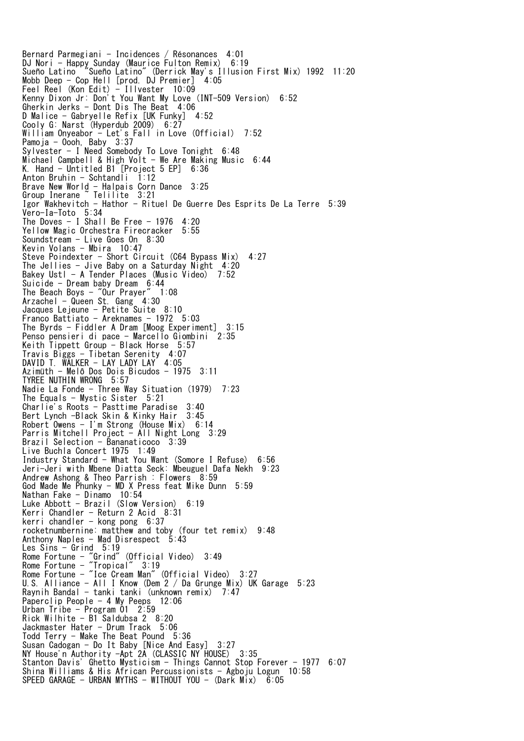Bernard Parmegiani - Incidences / Résonances 4:01 DJ Nori - Happy Sunday (Maurice Fulton Remix) 6:19 Sueño Latino "Sueño Latino" (Derrick May's Illusion First Mix) 1992 11:20 Mobb Deep - Cop Hell [prod. DJ Premier] 4:05 Feel Reel (Kon Edit) - Illvester 10:09 Kenny Dixon Jr: Don't You Want My Love (INT-509 Version) 6:52 Gherkin Jerks - Dont Dis The Beat 4:06 D Malice - Gabryelle Refix [UK Funky] 4:52 Cooly G: Narst (Hyperdub 2009) 6:27 William Onyeabor - Let's Fall in Love (Official) 7:52 Pamoja - Oooh, Baby 3:37 Sylvester - I Need Somebody To Love Tonight 6:48 Michael Campbell & High Volt - We Are Making Music 6:44 K. Hand - Untitled B1<sup>[Project 5 EP] 6:36</sup> Anton Bruhin - Schtandli  $1:12$ Brave New World - Halpais Corn Dance 3:25 Group Inerane ~ Telilite 3:21 Igor Wakhevitch - Hathor - Rituel De Guerre Des Esprits De La Terre 5:39 Vero-Ia-Toto 5:34 The Doves  $-$  I Shall Be Free  $-$  1976 4:20 Yellow Magic Orchestra Firecracker 5:55 Soundstream - Live Goes On 8:30 Kevin Volans - Mbira 10:47 Steve Poindexter - Short Circuit (C64 Bypass Mix)  $4:27$ The Jellies - Jive Baby on a Saturday Night 4:20 Bakey Ustl - A Tender Places (Music Video) 7:52 Suicide - Dream baby Dream 6:44 The Beach Boys - "Our Prayer" 1:08 Arzachel - Queen St. Gang 4:30 Jacques Lejeune - Petite Suite 8:10 Franco Battiato - Areknames - 1972 5:03 The Byrds - Fiddler A Dram [Moog Experiment] 3:15 Penso pensieri di pace - Marcello Giombini 2:35 Keith Tippett Group - Black Horse 5:57 Travis Biggs - Tibetan Serenity 4:07 DAVID T. WALKER - LAY LADY LAY 4:05 Azimüth - Melô Dos Dois Bicudos - 1975 3:11 TYREE NUTHIN WRONG 5:57 Nadie La Fonde - Three Way Situation (1979) 7:23 The Equals - Mystic Sister 5:21 Charlie's Roots - Pasttime Paradise 3:40 Bert Lynch -Black Skin & Kinky Hair 3:45 Robert Owens - I'm Strong (House Mix) 6:14 Parris Mitchell Project - All Night Long 3:29 Brazil Selection - Bananaticoco 3:39 Live Buchla Concert 1975 1:49 Industry Standard - What You Want (Somore I Refuse) 6:56 Jeri-Jeri with Mbene Diatta Seck: Mbeuguel Dafa Nekh 9:23 Andrew Ashong & Theo Parrish : Flowers 8:59 God Made Me Phunky - MD X Press feat Mike Dunn  $5:59$ Nathan Fake - Dinamo 10:54 Luke Abbott - Brazil (Slow Version) 6:19 Kerri Chandler - Return 2 Acid 8:31 kerri chandler - kong pong 6:37 rocketnumbernine: matthew and toby (four tet remix) 9:48 Anthony Naples - Mad Disrespect 5:43 Les Sins - Grind 5:19 Rome Fortune - "Grind" (Official Video) 3:49 Rome Fortune - "Tropical" 3:19 Rome Fortune - "Ice Cream Man" (Official Video) 3:27 U.S. Alliance - All I Know (Dem 2 / Da Grunge Mix) UK Garage 5:23 Raynih Bandal - tanki tanki (unknown remix) 7:47 Paperclip People - 4 My Peeps 12:06 Urban Tribe - Program 01 2:59 Rick Wilhite - B1 Saldubsa 2 8:20 Jackmaster Hater - Drum Track 5:06 Todd Terry - Make The Beat Pound 5:36 Susan Cadogan - Do It Baby [Nice And Easy] 3:27 NY House'n Authority -Apt 2A (CLASSIC NY HOUSE) 3:35 Stanton Davis' Ghetto Mysticism - Things Cannot Stop Forever - 1977 6:07 Shina Williams & His African Percussionists - Agboju Logun 10:58 SPEED GARAGE - URBAN MYTHS - WITHOUT YOU - (Dark Mix) 6:05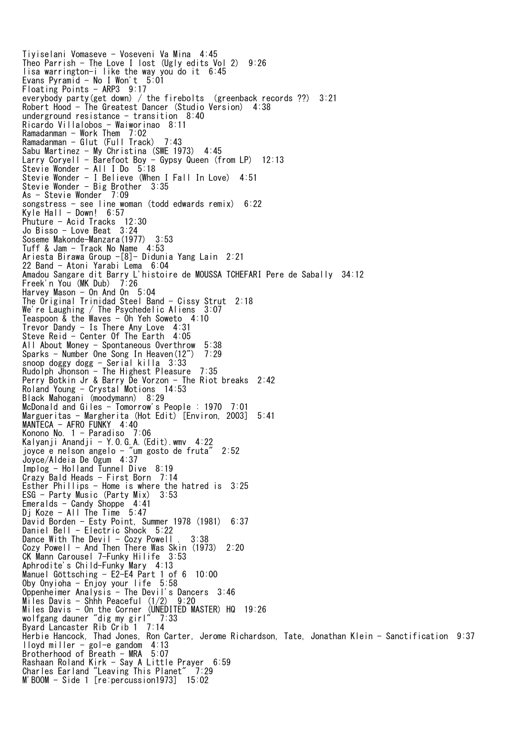Tiyiselani Vomaseve - Voseveni Va Mina 4:45 Theo Parrish - The Love I lost (Ugly edits Vol 2) 9:26 lisa warrington-i like the way you do it 6:45 Evans Pyramid - No I Won't  $5:01$ Floating Points - ARP3 9:17 everybody party(get down) / the firebolts (greenback records ??) 3:21 Robert Hood - The Greatest Dancer (Studio Version) 4:38 underground resistance  $-$  transition 8:40 Ricardo Villalobos - Waiworinao 8:11 Ramadanman - Work Them 7:02 Ramadanman - Glut (Full Track) 7:43 Sabu Martinez - My Christina (SWE 1973) 4:45 Larry Coryell - Barefoot Boy - Gypsy Queen (from LP) 12:13 Stevie Wonder - All I Do 5:18 Stevie Wonder - I Believe (When I Fall In Love) 4:51 Stevie Wonder - Big Brother 3:35 As - Stevie Wonder 7:09 songstress - see line woman (todd edwards remix) 6:22 Kyle Hall - Down!  $6:57$ Phuture - Acid Tracks 12:30 Jo Bisso - Love Beat 3:24 Soseme Makonde-Manzara(1977) 3:53 Tuff & Jam - Track No Name 4:53 Ariesta Birawa Group -[8]- Didunia Yang Lain 2:21 22 Band - Atoni Yarabi Lema 6:04 Amadou Sangare dit Barry L'histoire de MOUSSA TCHEFARI Pere de Sabally 34:12 Freek'n You (MK Dub) 7:26 Harvey Mason - On And On 5:04 The Original Trinidad Steel Band - Cissy Strut 2:18 We're Laughing / The Psychedelic Aliens 3:07 Teaspoon & the Waves - Oh Yeh Soweto 4:10 Trevor Dandy - Is There Any Love 4:31 Steve Reid - Center Of The Earth 4:05 All About Money - Spontaneous Overthrow 5:38 Sparks - Number One Song In Heaven(12") 7:29 snoop doggy dogg - Serial killa 3:33 Rudolph Jhonson - The Highest Pleasure 7:35 Perry Botkin Jr & Barry De Vorzon - The Riot breaks 2:42 Roland Young - Crystal Motions 14:53 Black Mahogani (moodymann) 8:29 McDonald and Giles - Tomorrow's People : 1970 7:01 Margueritas - Margherita (Hot Edit) [Environ, 2003] 5:41 MANTECA - AFRO FUNKY 4:40 Konono No. 1 - Paradiso 7:06 Kalyanji Anandji - Y.O.G.A.(Edit).wmv 4:22 joyce e nelson angelo - "um gosto de fruta" 2:52 Joyce/Aldeia De Ogum 4:37 Implog - Holland Tunnel Dive 8:19 Crazy Bald Heads - First Born 7:14 Esther Phillips - Home is where the hatred is 3:25 ESG - Party Music (Party Mix) 3:53 Emeralds - Candy Shoppe 4:41 Dj Koze - All The Time 5:47 David Borden - Esty Point, Summer 1978 (1981) 6:37 Daniel Bell - Electric Shock 5:22 Dance With The Devil - Cozy Powell . 3:38 Cozy Powell - And Then There Was Skin (1973) 2:20 CK Mann Carousel 7-Funky Hilife 3:53 Aphrodite's Child-Funky Mary 4:13 Manuel Göttsching - E2-E4 Part 1 of 6 10:00 Oby Onyioha - Enjoy your life 5:58 Oppenheimer Analysis - The Devil's Dancers 3:46 Miles Davis - Shhh Peaceful (1/2) 9:20 Miles Davis - On the Corner (UNEDITED MASTER) HQ 19:26 wolfgang dauner "dig my girl" 7:33 Byard Lancaster Rib Crib 1 7:14 Herbie Hancock, Thad Jones, Ron Carter, Jerome Richardson, Tate, Jonathan Klein - Sanctification 9:37 lloyd miller - gol-e gandom 4:13 Brotherhood of Breath - MRA 5:07 Rashaan Roland Kirk - Say A Little Prayer 6:59 Charles Earland "Leaving This Planet" 7:29 M'BOOM - Side 1 [re:percussion1973] 15:02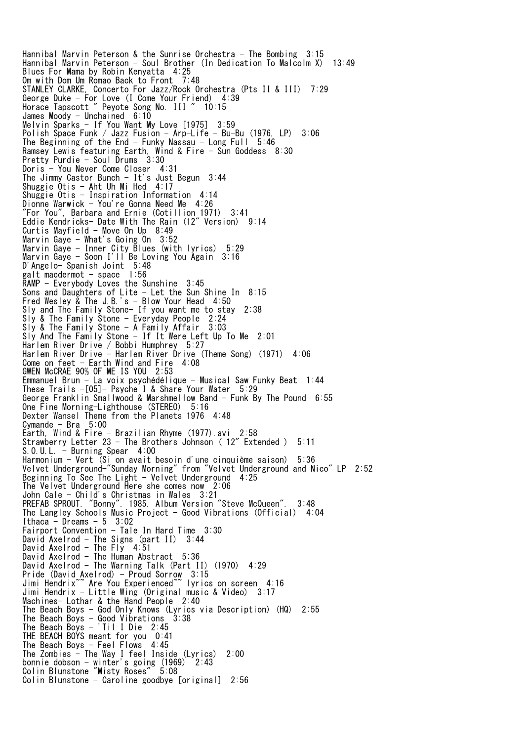Hannibal Marvin Peterson & the Sunrise Orchestra - The Bombing 3:15 Hannibal Marvin Peterson - Soul Brother (In Dedication To Malcolm X) 13:49 Blues For Mama by Robin Kenyatta 4:25 Om with Dom Um Romao Back to Front 7:48 STANLEY CLARKE, Concerto For Jazz/Rock Orchestra (Pts II & III) 7:29 George Duke - For Love (I Come Your Friend) 4:39 Horace Tapscott " Peyote Song No. III " 10:15 James Moody - Unchained  $6:10$ Melvin Sparks - If You Want My Love [1975] 3:59 Polish Space Funk / Jazz Fusion - Arp-Life - Bu-Bu (1976, LP) 3:06 The Beginning of the End - Funky Nassau - Long Full  $5:46$ Ramsey Lewis featuring Earth, Wind & Fire - Sun Goddess 8:30 Pretty Purdie - Soul Drums 3:30 Doris - You Never Come Closer 4:31 The Jimmy Castor Bunch - It's Just Begun 3:44 Shuggie Otis - Aht Uh Mi Hed 4:17 Shuggie Otis - Inspiration Information 4:14 Dionne Warwick - You're Gonna Need Me 4:26 "For You", Barbara and Ernie (Cotillion 1971) 3:41 Eddie Kendricks- Date With The Rain (12" Version) 9:14 Curtis Mayfield - Move On Up 8:49 Marvin Gaye - What's Going On 3:52 Marvin Gaye - Inner City Blues (with lyrics) 5:29 Marvin Gaye - Soon I'll Be Loving You Again 3:16 D'Angelo- Spanish Joint 5:48 galt macdermot - space 1:56 RAMP - Everybody Loves the Sunshine 3:45 Sons and Daughters of Lite - Let the Sun Shine In 8:15 Fred Wesley & The J.B.'s - Blow Your Head 4:50 Sly and The Family Stone- If you want me to stay 2:38 Sly & The Family Stone - Everyday People 2:24 Sly & The Family Stone - A Family Affair 3:03 Sly And The Family Stone - If It Were Left Up To Me 2:01 Harlem River Drive / Bobbi Humphrey 5:27 Harlem River Drive - Harlem River Drive (Theme Song) (1971) 4:06 Come on feet - Earth Wind and Fire 4:08 GWEN McCRAE 90% OF ME IS YOU 2:53 Emmanuel Brun - La voix psychédélique - Musical Saw Funky Beat 1:44 These Trails -[05]- Psyche I & Share Your Water 5:29 George Franklin Smallwood & Marshmellow Band - Funk By The Pound 6:55 One Fine Morning-Lighthouse (STEREO) 5:16 Dexter Wansel Theme from the Planets 1976 4:48 Cymande - Bra  $5:00$ Earth, Wind & Fire - Brazilian Rhyme (1977).avi 2:58 Strawberry Letter 23 - The Brothers Johnson ( 12" Extended ) 5:11 S.O.U.L. - Burning Spear 4:00 Harmonium - Vert (Si on avait besoin d'une cinquième saison) 5:36 Velvet Underground-"Sunday Morning" from "Velvet Underground and Nico" LP 2:52 Beginning To See The Light - Velvet Underground 4:25 The Velvet Underground Here she comes now 2:06 John Cale - Child's Christmas in Wales 3:21 PREFAB SPROUT. "Bonny". 1985. Album Version "Steve McQueen". 3:48 The Langley Schools Music Project - Good Vibrations (Official) 4:04 Ithaca  $-$  Dreams  $-5$  3:02 Fairport Convention - Tale In Hard Time 3:30 David Axelrod - The Signs (part II) 3:44 David Axelrod - The Fly 4:51 David Axelrod - The Human Abstract 5:36 David Axelrod - The Human Abscract Correct II<sub>2</sub> (1970) 4:29 Pride (David Axelrod) - Proud Sorrow 3:15 Jimi Hendrix~~ Are You Experienced~~ lyrics on screen 4:16 Jimi Hendrix - Little Wing (Original music & Video) 3:17 Machines- Lothar & the Hand People 2:40 The Beach Boys - God Only Knows (Lyrics via Description) (HQ) 2:55 The Beach Boys - Good Vibrations 3:38 The Beach Boys - 'Til I Die 2:45 THE BEACH BOYS meant for you 0:41 The Beach Boys  $-$  Feel Flows 4:45 The Zombies - The Way I feel Inside (Lyrics) 2:00 bonnie dobson - winter's going (1969) 2:43 Colin Blunstone "Misty Roses" 5:08 Colin Blunstone - Caroline goodbye [original] 2:56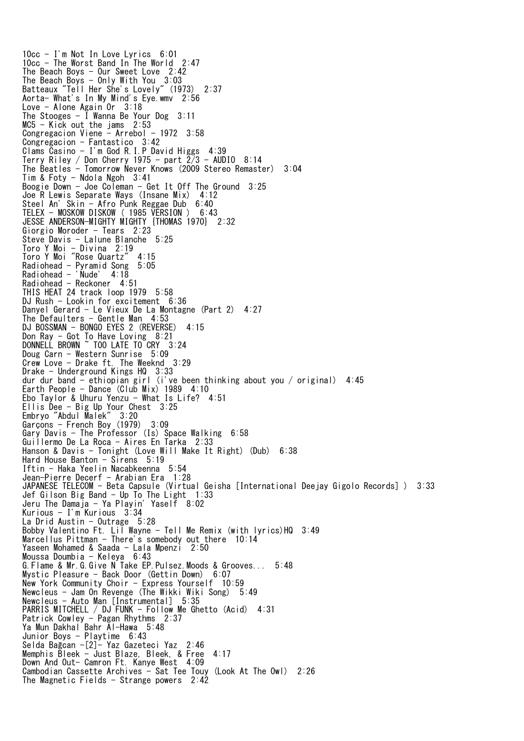10cc - I'm Not In Love Lyrics 6:01 10cc - The Worst Band In The World 2:47 The Beach Boys - Our Sweet Love 2:42 The Beach Boys  $-$  Only With You  $3:03$ Batteaux "Tell Her She's Lovely" (1973) 2:37 Aorta- What's In My Mind's Eye.wmv 2:56 Love - Alone Again Or 3:18 The Stooges - I Wanna Be Your Dog 3:11 MC5 - Kick out the jams 2:53 Congregacion Viene - Arrebol -  $1972$  3:58 Congregacion - Fantastico 3:42 Clams Casino - I'm God R.I.P David Higgs 4:39 Terry Riley / Don Cherry 1975 - part  $2/3$  - AUDIO  $8:14$ The Beatles - Tomorrow Never Knows (2009 Stereo Remaster) 3:04 Tim & Foty - Ndola Ngoh 3:41 Boogie Down - Joe Coleman - Get It Off The Ground 3:25 Joe R Lewis Separate Ways (Insane Mix) 4:12 Steel An' Skin - Afro Punk Reggae Dub 6:40 TELEX - MOSKOW DISKOW ( 1985 VERSION ) 6:43 JESSE ANDERSON-MIGHTY MIGHTY {THOMAS 1970} 2:32 Giorgio Moroder - Tears 2:23 Steve Davis - Lalune Blanche 5:25 Toro Y Moi - Divina 2:19 Toro Y Moi "Rose Quartz" 4:15 Radiohead - Pyramid Song 5:05 Radiohead - 'Nude' 4:18 Radiohead - Reckoner 4:51 THIS HEAT 24 track loop 1979 5:58 DJ Rush - Lookin for excitement 6:36 Danyel Gerard - Le Vieux De La Montagne (Part 2) 4:27 The Defaulters  $-$  Gentle Man  $4:53$ DJ BOSSMAN - BONGO EYES 2 (REVERSE) 4:15 Don Ray - Got To Have Loving 8:21 DONNELL BROWN ~ TOO LATE TO CRY 3:24 Doug Carn - Western Sunrise 5:09 Crew Love - Drake ft. The Weeknd 3:29 Drake - Underground Kings HQ 3:33 dur dur band - ethiopian girl (i've been thinking about you / original) 4:45 Earth People - Dance (Club Mix) 1989 4:10 Ebo Taylor & Uhuru Yenzu - What Is Life? 4:51 Ellis Dee - Big Up Your Chest 3:25 Embryo "Abdul Malek" 3:20 Garçons - French Boy (1979) 3:09 Gary Davis - The Professor (Is) Space Walking 6:58 Guillermo De La Roca - Aires En Tarka 2:33 Hanson & Davis - Tonight (Love Will Make It Right) (Dub) 6:38 Hard House Banton - Sirens 5:19 Iftin - Haka Yeelin Nacabkeenna 5:54 Jean-Pierre Decerf - Arabian Era 1:28 JAPANESE TELECOM - Beta Capsule (Virtual Geisha [International Deejay Gigolo Records] ) 3:33 Jef Gilson Big Band - Up To The Light 1:33 Jeru The Damaja - Ya Playin' Yaself 8:02 Kurious - I'm Kurious 3:34 La Drid Austin  $-$  Outrage  $5:28$ Bobby Valentino Ft. Lil Wayne - Tell Me Remix (with lyrics)HQ 3:49 Marcellus Pittman - There's somebody out there 10:14 Yaseen Mohamed & Saada - Lala Mpenzi 2:50 Moussa Doumbia - Keleya 6:43 G.Flame & Mr.G.Give N Take EP.Pulsez.Moods & Grooves... 5:48 Mystic Pleasure - Back Door (Gettin Down) 6:07 New York Community Choir - Express Yourself 10:59 Newcleus - Jam On Revenge (The Wikki Wiki Song) 5:49 Newcleus - Auto Man [Instrumental] 5:35 PARRIS MITCHELL / DJ FUNK - Follow Me Ghetto (Acid) 4:31 Patrick Cowley - Pagan Rhythms 2:37 Ya Mun Dakhal Bahr Al-Hawa 5:48 Junior Boys - Playtime 6:43 Selda Bağcan -[2]- Yaz Gazeteci Yaz 2:46 Memphis Bleek - Just Blaze, Bleek, & Free 4:17 Down And Out- Camron Ft. Kanye West 4:09 Cambodian Cassette Archives - Sat Tee Touy (Look At The Owl) 2:26 The Magnetic Fields - Strange powers 2:42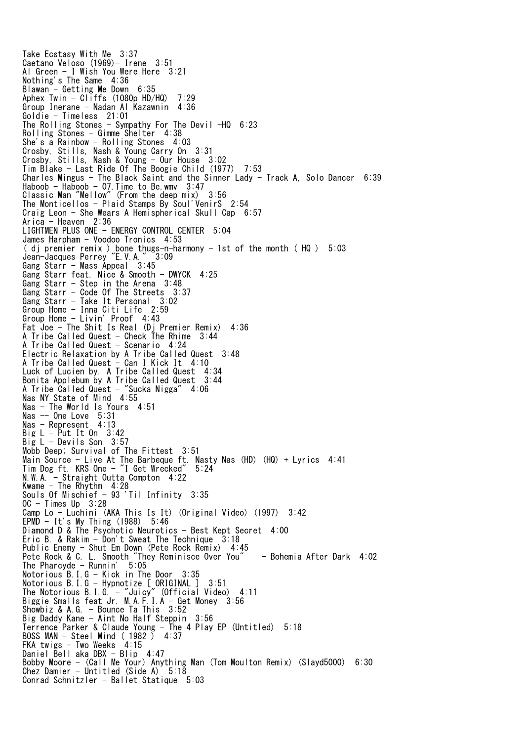Take Ecstasy With Me 3:37 Caetano Veloso (1969)- Irene 3:51 Al Green - I Wish You Were Here 3:21 Nothing's The Same 4:36 Blawan - Getting Me Down 6:35 Aphex Twin - Cliffs (1080p HD/HQ) 7:29 Group Inerane - Nadan Al Kazawnin 4:36 Goldie - Timeless 21:01 The Rolling Stones - Sympathy For The Devil  $-HQ$  6:23 Rolling Stones - Gimme Shelter 4:38 She's a Rainbow - Rolling Stones 4:03 Crosby, Stills, Nash & Young Carry On 3:31 Crosby, Stills, Nash & Young - Our House 3:02 Tim Blake - Last Ride Of The Boogie Child (1977) 7:53 Charles Mingus - The Black Saint and the Sinner Lady - Track A, Solo Dancer 6:39 Haboob - Haboob - 07.Time to Be.wmv 3:47 Classic Man "Mellow" (From the deep mix) 3:56 The Monticellos - Plaid Stamps By Soul'VenirS 2:54 Craig Leon - She Wears A Hemispherical Skull Cap 6:57 Arica - Heaven 2:36 LIGHTMEN PLUS ONE - ENERGY CONTROL CENTER 5:04 James Harpham - Voodoo Tronics 4:53 ( dj premier remix ) bone thugs-n-harmony - 1st of the month ( HQ ) 5:03 Jean-Jacques Perrey "E.V.A." 3:09 Gang Starr - Mass Appeal 3:45 Gang Starr feat. Nice & Smooth - DWYCK 4:25 Gang Starr - Step in the Arena 3:48 Gang Starr - Code Of The Streets 3:37 Gang Starr - Take It Personal 3:02 Group Home - Inna Citi Life 2:59 Group Home - Livin' Proof 4:43 Fat Joe - The Shit Is Real (Dj Premier Remix) 4:36 A Tribe Called Quest - Check The Rhime 3:44 A Tribe Called Quest - Scenario 4:24 Electric Relaxation by A Tribe Called Quest 3:48 A Tribe Called Quest - Can I Kick It 4:10 Luck of Lucien by. A Tribe Called Quest 4:34 Bonita Applebum by A Tribe Called Quest 3:44 A Tribe Called Quest - "Sucka Nigga" 4:06 Nas NY State of Mind 4:55 Nas - The World Is Yours 4:51 Nas -- One Love 5:31 Nas - Represent 4:13 Big L - Put It On 3:42 Big L - Devils Son 3:57 Mobb Deep; Survival of The Fittest 3:51 Main Source - Live At The Barbeque ft. Nasty Nas (HD) (HQ) + Lyrics 4:41 Tim Dog ft. KRS One - "I Get Wrecked" 5:24 N.W.A. - Straight Outta Compton 4:22 Kwame - The Rhythm 4:28 Souls Of Mischief - 93 'Til Infinity 3:35 OC - Times Up 3:28 Camp Lo - Luchini (AKA This Is It) (Original Video) (1997) 3:42 EPMD - It's My Thing (1988) 5:46 Diamond D & The Psychotic Neurotics - Best Kept Secret 4:00 Eric B. & Rakim - Don't Sweat The Technique 3:18 Public Enemy - Shut Em Down (Pete Rock Remix) 4:45 Pete Rock & C. L. Smooth "They Reminisce Over You" - Bohemia After Dark 4:02 The Pharcyde - Runnin'  $5:05$ Notorious B.I.G - Kick in The Door 3:35 Notorious B.I.G - Hypnotize [ ORIGINAL ] 3:51 The Notorious B.I.G. - "Juicy" (Official Video) 4:11 Biggie Smalls feat Jr. M.A.F.I.A - Get Money 3:56 Showbiz & A.G. - Bounce Ta This 3:52 Big Daddy Kane - Aint No Half Steppin 3:56 Terrence Parker & Claude Young - The 4 Play EP (Untitled) 5:18 BOSS MAN - Steel Mind ( 1982 ) 4:37 FKA twigs - Two Weeks 4:15 Daniel Bell aka DBX - Blip 4:47 Bobby Moore - (Call Me Your) Anything Man (Tom Moulton Remix) (Slayd5000) 6:30 Chez Damier - Untitled (Side A) 5:18 Conrad Schnitzler - Ballet Statique 5:03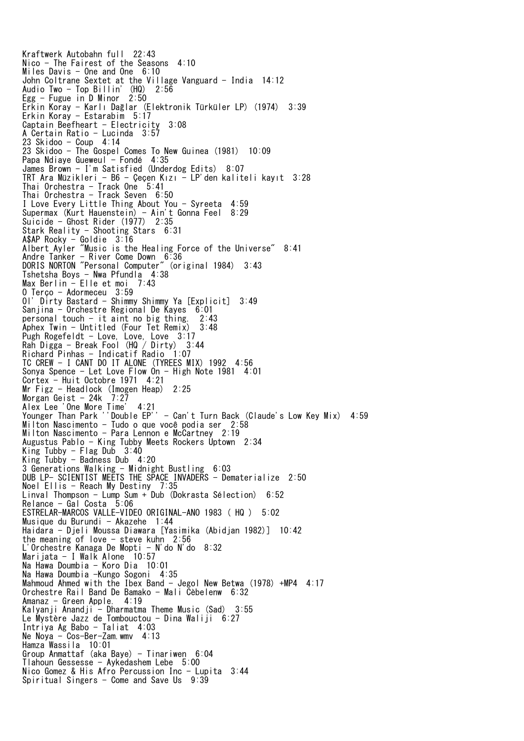Kraftwerk Autobahn full 22:43 Nico - The Fairest of the Seasons 4:10 Miles Davis  $-$  One and One  $6:10$ John Coltrane Sextet at the Village Vanguard - India 14:12 Audio Two - Top Billin' (HQ) 2:56 Egg - Fugue in D Minor 2:50 Erkin Koray - Karlı Dağlar (Elektronik Türküler LP) (1974) 3:39 Erkin Koray - Estarabim 5:17 Captain Beefheart - Electricity 3:08 A Certain Ratio - Lucinda 3:57 23 Skidoo - Coup 4:14 23 Skidoo - The Gospel Comes To New Guinea (1981) 10:09 Papa Ndiaye Gueweul - Fondé 4:35 James Brown - I'm Satisfied (Underdog Edits) 8:07 TRT Ara Müzikleri - B6 - Çeçen Kızı - LP'den kaliteli kayıt 3:28 Thai Orchestra - Track One 5:41 Thai Orchestra - Track Seven 6:50 I Love Every Little Thing About You - Syreeta 4:59 Supermax (Kurt Hauenstein) - Ain't Gonna Feel 8:29 Suicide - Ghost Rider (1977) 2:35 Stark Reality - Shooting Stars 6:31 A\$AP Rocky - Goldie 3:16 Albert Ayler "Music is the Healing Force of the Universe" 8:41 Andre Tanker - River Come Down 6:36 DORIS NORTON "Personal Computer" (original 1984) 3:43 Tshetsha Boys - Nwa Pfundla 4:38 Max Berlin - Elle et moi 7:43 O Terço - Adormeceu 3:59 Ol' Dirty Bastard - Shimmy Shimmy Ya [Explicit] 3:49 Sanjina - Orchestre Regional De Kayes 6:01 personal touch - it aint no big thing. 2:43 Aphex Twin - Untitled (Four Tet Remix) 3:48 Pugh Rogefeldt - Love, Love, Love 3:17 Rah Digga - Break Fool (HQ / Dirty) 3:44 Richard Pinhas - Indicatif Radio 1:07 TC CREW - I CANT DO IT ALONE (TYREES MIX) 1992 4:56 Sonya Spence - Let Love Flow On - High Note 1981 4:01 Cortex - Huit Octobre 1971 4:21 Mr Figz - Headlock (Imogen Heap) 2:25 Morgan Geist - 24k 7:27 Alex Lee 'One More Time' 4:21 Younger Than Park ''Double EP'' - Can't Turn Back (Claude's Low Key Mix) 4:59 Milton Nascimento - Tudo o que você podia ser 2:58 Milton Nascimento - Para Lennon e McCartney 2:19 Augustus Pablo - King Tubby Meets Rockers Uptown 2:34 King Tubby - Flag Dub 3:40 King Tubby - Badness Dub 4:20 3 Generations Walking - Midnight Bustling 6:03 DUB LP- SCIENTIST MEETS THE SPACE INVADERS - Dematerialize 2:50 Noel Ellis - Reach My Destiny 7:35 Linval Thompson - Lump Sum + Dub (Dokrasta Sélection) 6:52 Relance - Gal Costa 5:06 ESTRELAR-MARCOS VALLE-VIDEO ORIGINAL-ANO 1983 ( HQ ) 5:02 Musique du Burundi - Akazehe  $1:44$ Haidara - Djeli Moussa Diawara [Yasimika (Abidjan 1982)] 10:42 the meaning of love  $-$  steve kuhn  $2:56$ L'Orchestre Kanaga De Mopti - N'do N'do 8:32 Marijata - I Walk Alone 10:57 Na Hawa Doumbia - Koro Dia 10:01 Na Hawa Doumbia -Kungo Sogoni 4:35 Mahmoud Ahmed with the Ibex Band - Jegol New Betwa (1978) +MP4 4:17 Orchestre Rail Band De Bamako - Mali Cèbelenw 6:32 Amanaz - Green Apple. 4:19 Kalyanji Anandji - Dharmatma Theme Music (Sad) 3:55 Le Mystère Jazz de Tombouctou - Dina Waliji 6:27 Intriya Ag Babo - Taliat 4:03 Ne Noya - Cos-Ber-Zam.wmv 4:13 Hamza Wassila 10:01 Group Anmattaf (aka Baye) - Tinariwen  $6:04$ Tlahoun Gessesse - Aykedashem Lebe 5:00 Nico Gomez & His Afro Percussion Inc - Lupita 3:44 Spiritual Singers - Come and Save Us  $9:39$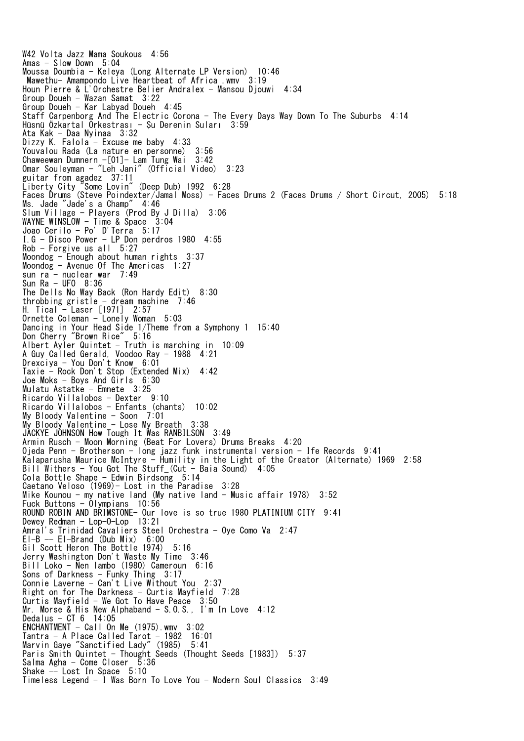W42 Volta Jazz Mama Soukous 4:56 Amas - Slow Down 5:04 Moussa Doumbia - Keleya (Long Alternate LP Version) 10:46 Mawethu- Amampondo Live Heartbeat of Africa .wmv 3:19 Houn Pierre & L'Orchestre Belier Andralex - Mansou Djouwi 4:34 Group Doueh - Wazan Samat 3:22 Group Doueh - Kar Labyad Doueh 4:45 Staff Carpenborg And The Electric Corona - The Every Days Way Down To The Suburbs 4:14 Hüsnü Özkartal Orkestrası - Şu Derenin Suları 3:59 Ata Kak - Daa Nyinaa 3:32 Dizzy K. Falola - Excuse me baby 4:33 Youvalou Rada (La nature en personne) 3:56 Chaweewan Dumnern -[01]- Lam Tung Wai 3:42 Omar Souleyman - "Leh Jani" (Official Video) 3:23 guitar from agadez 37:11 Liberty City "Some Lovin" (Deep Dub) 1992 6:28 Faces Drums (Steve Poindexter/Jamal Moss) - Faces Drums 2 (Faces Drums / Short Circut, 2005) 5:18 Ms. Jade "Jade's a Champ" 4:46 Slum Village - Players (Prod By J Dilla) 3:06 WAYNE WINSLOW - Time & Space 3:04 Joao Cerilo - Po' D'Terra 5:17 I.G - Disco Power - LP Don perdros 1980 4:55 Rob - Forgive us all 5:27 Moondog - Enough about human rights 3:37 Moondog - Avenue Of The Americas 1:27  $sumra - nuclei$  muclear war  $7:49$ Sun Ra - UFO 8:36 The Dells No Way Back (Ron Hardy Edit) 8:30 throbbing gristle - dream machine  $7:46$ H. Tical - Laser [1971] 2:57 Ornette Coleman - Lonely Woman 5:03 Dancing in Your Head Side 1/Theme from a Symphony 1 15:40 Don Cherry "Brown Rice" 5:16 Albert Ayler Quintet - Truth is marching in 10:09 A Guy Called Gerald, Voodoo Ray - 1988 4:21 Drexciya - You Don't Know 6:01 Taxie - Rock Don't Stop (Extended Mix) 4:42 Joe Moks - Boys And Girls 6:30 Mulatu Astatke - Emnete 3:25 Ricardo Villalobos - Dexter 9:10 Ricardo Villalobos - Enfants (chants) 10:02 My Bloody Valentine - Soon 7:01 My Bloody Valentine - Lose My Breath 3:38 JACKYE JOHNSON How Tough It Was RANBILSON 3:49 Armin Rusch - Moon Morning (Beat For Lovers) Drums Breaks 4:20 Ojeda Penn - Brotherson - long jazz funk instrumental version - Ife Records 9:41 Kalaparusha Maurice McIntyre - Humility in the Light of the Creator (Alternate) 1969 2:58 Bill Withers - You Got The Stuff\_(Cut - Baia Sound) 4:05 Cola Bottle Shape - Edwin Birdsong 5:14 Caetano Veloso (1969)- Lost in the Paradise 3:28 Mike Kounou - my native land (My native land - Music affair 1978) 3:52 Fuck Buttons - Olympians 10:56 ROUND ROBIN AND BRIMSTONE- Our love is so true 1980 PLATINIUM CITY 9:41 Dewey Redman - Lop-O-Lop 13:21 Amral's Trinidad Cavaliers Steel Orchestra - Oye Como Va 2:47 El-B -- El-Brand (Dub Mix) 6:00 Gil Scott Heron The Bottle 1974) 5:16 Jerry Washington Don't Waste My Time 3:46 Bill Loko - Nen lambo (1980) Cameroun 6:16 Sons of Darkness - Funky Thing 3:17 Connie Laverne - Can't Live Without You 2:37 Right on for The Darkness - Curtis Mayfield 7:28 Curtis Mayfield - We Got To Have Peace 3:50 Mr. Morse & His New Alphaband - S.O.S., I'm In Love 4:12 Dedalus - CT 6 14:05 ENCHANTMENT - Call On Me (1975).wmv 3:02 Tantra - A Place Called Tarot - 1982 16:01 Marvin Gaye "Sanctified Lady" (1985) 5:41 Paris Smith Quintet - Thought Seeds (Thought Seeds [1983]) 5:37 Salma Agha - Come Closer 5:36 Shake -- Lost In Space 5:10 Timeless Legend - I Was Born To Love You - Modern Soul Classics 3:49